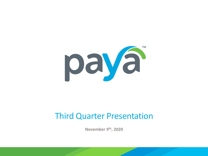

### Third Quarter Presentation

**November 9th, 2020**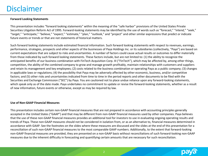#### Disclaimer

#### **Forward Looking Statements**

This presentation includes "forward looking statements" within the meaning of the "safe harbor" provisions of the United States Private Securities Litigation Reform Act of 1995. Forward-looking statements may be identified by the use of words such as "forecast," "intend," "seek," "target," "anticipate," "believe," "expect," "estimate," "plan," "outlook," and "project" and other similar expressions that predict or indicate future events or trends or that are not statements of historical matters.

Such forward looking statements include estimated financial information. Such forward looking statements with respect to revenues, earnings, performance, strategies, prospects and other aspects of the businesses of Paya Holdings Inc. or its subsidiaries (collectively, "Paya") are based on current expectations that are subject to risks and uncertainties. A number of factors could cause actual results or outcomes to differ materially from those indicated by such forward looking statements. These factors include, but are not limited to: (1) the ability to recognize the anticipated benefits of our business combination with FinTech Acquisition Corp. III ("FinTech"), which may be affected by, among other things, competition, the ability of the combined company to grow and manage growth profitably, maintain relationships with customers and suppliers and retain its management and key employees; (2) costs related to the business combination or operating Paya as a public company; (3) changes in applicable laws or regulations; (4) the possibility that Paya may be adversely affected by other economic, business, and/or competitive factors; and (5) other risks and uncertainties indicated from time to time in the period reports and other documents to be filed with the Securities and Exchange Commission ("SEC") by Paya. You are cautioned not to place undue reliance upon any forward-looking statements, which speak only as of the date made. Paya undertakes no commitment to update or revise the forward-looking statements, whether as a result of new information, future events or otherwise, except as may be required by law.

#### **Use of Non-GAAP Financial Measures**

This presentation includes certain non-GAAP financial measures that are not prepared in accordance with accounting principles generally accepted in the United States ("GAAP") and that may be different from non-GAAP financial measures used by other companies. Paya believes that the use of these non-GAAP financial measures provides an additional tool for investors to use in evaluating ongoing operating results and trends of Paya. These non-GAAP measures should not be considered in isolation from, or as an alternative to, financial measures determined in accordance with GAAP. See the footnotes on the slides where these measures are discussed and the slides at the end of this presentation for a reconciliation of such non-GAAP financial measures to the most comparable GAAP numbers. Additionally, to the extent that forward-looking non-GAAP financial measures are provided, they are presented on a non-GAAP basis without reconciliations of such forward-looking non-GAAP measures due to the inherent difficulty in forecasting and quantifying certain amounts that are necessary for such reconciliation.

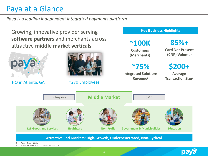### Paya at a Glance

*Paya is a leading independent integrated payments platform*

Growing, innovative provider serving **software partners** and merchants across attractive **middle market verticals**

HQ in Atlanta, GA  $\sim$  270 Employees

**~100K**

**Key Business Highlights**

**Customers (Merchants)** **85%+**

**Card Not Present (CNP) Volume<sup>1</sup>**

**~75%**

**Integrated Solutions Revenue<sup>2</sup>**

**\$200+ Average** 

**Transaction Size<sup>3</sup>**



**Attractive End Markets: High-Growth, Underpenetrated, Non-Cyclical**

*1. Nilson Report (2019)*

*2. 2021E, excludes ACH 3. 2020A, includes ACH*

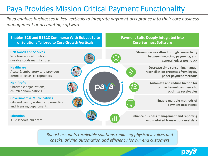## Paya Provides Mission Critical Payment Functionality

*Paya enables businesses in key verticals to integrate payment acceptance into their core business management or accounting software*



*Robust accounts receivable solutions replacing physical invoices and checks, driving automation and efficiency for our end customers*

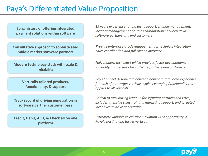### Paya's Differentiated Value Proposition

**Long history of offering integrated payment solutions within software** 

**Consultative approach to sophisticated middle market software partners**

**Modern technology stack with scale & reliability**

> **Vertically tailored products, functionality, & support**

**Track record of driving penetration in software partner customer base**

**Credit, Debit, ACH, & Check all on one platform**

*15 years experience tuning tech support, change management, incident management and sales coordination between Paya, software partners and end customers* 

*Provide enterprise-grade engagement for technical integration, sales coordination and full client experience*

*Fully modern tech stack which provides faster development, scalablity and security for software partners and customers*

*Paya Connect designed to deliver a holistic and tailored experience for each of our target verticals while leveraging functionality that applies to all verticals*

*Critical to maximizing revenue for software partners and Paya; includes intensive sales training, marketing support, and targeted incentives to drive penetration*

*Extremely valuable to capture maximum TAM opportunity in Paya's existing and target verticals*

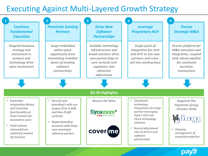#### Executing Against Multi-Layered Growth Strategy



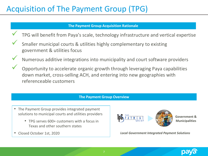## Acquisition of The Payment Group (TPG)

#### **The Payment Group Acquisition Rationale**

- TPG will benefit from Paya's scale, technology infrastructure and vertical expertise
	- Smaller municipal courts & utilities highly complementary to existing government & utilities focus
		- Numerous additive integrations into municipality and court software providers
- ✓ Opportunity to accelerate organic growth through leveraging Paya capabilities down market, cross-selling ACH, and entering into new geographies with referenceable customers

#### **The Payment Group Overview**

- The Payment Group provides integrated payment solutions to municipal courts and utilities providers
	- TPG serves 600+ customers with a focus in Texas and other southern states
- Closed October 1st, 2020



*Local Government Integrated Payment Solutions*

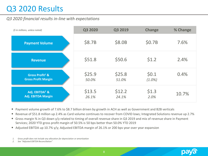## Q3 2020 Results

#### *Q3 2020 financial results in-line with expectations*

| (\$ in millions, unless noted)                            | Q3 2020         | Q3 2019         | <b>Change</b>      | % Change |
|-----------------------------------------------------------|-----------------|-----------------|--------------------|----------|
| <b>Payment Volume</b>                                     | \$8.7B          | \$8.0B          | \$0.7B             | 7.6%     |
| <b>Revenue</b>                                            | \$51.8          | \$50.6          | \$1.2              | 2.4%     |
| Gross Profit <sup>1</sup> &<br><b>Gross Profit Margin</b> | \$25.9<br>50.0% | \$25.8<br>51.0% | \$0.1<br>$(1.0\%)$ | 0.4%     |
| Adj. EBITDA <sup>2</sup> &<br>Adj. EBITDA Margin          | \$13.5<br>26.1% | \$12.2<br>24.1% | \$1.3<br>2.0%      | 10.7%    |

• Payment volume growth of 7.6% to \$8.7 billion driven by growth in ACH as well as Government and B2B verticals

- Revenue of \$51.8 million up 2.4% as Card volume continues to recover from COVID lows; Integrated Solutions revenue up 2.7%
- Gross margin % in Q3 down y/y related to timing of overall revenue share in Q3 2019 and mix of revenue share in Payment Services; 2020 YTD gross profit margin of 50.5% is 50 bps better than 50.0% YTD 2019
- Adjusted EBITDA up 10.7% y/y; Adjusted EBITDA margin of 26.1% or 200 bps year over year expansion

*1. Gross profit does not include any allocation for depreciation or amortization*

*2. See "Adjusted EBITDA Reconciliation"*

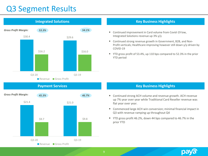#### Q3 Segment Results



# \$21.4 \$21.0  $$9.7$   $$9.8$ Q3-20 Q3-19 Revenue Gross Profit **Payment Services** *Gross Profit Margin: 45.3% 46.7%*

#### **Integrated Solutions** *Key Business Highlights* **<b>Key Business Highlights**

- Continued improvement in Card volume from Covid-19 low, Integrated Solutions revenue up 3% y/y
- Continued strong revenue growth in Government, B2B, and Non-Profit verticals; Healthcare improving however still down y/y driven by COVID-19
- YTD gross profit of 53.4%, up 110 bps compared to 52.3% in the prior YTD period

#### **Key Business Highlights**

- Continued strong ACH volume and revenue growth. ACH revenue up 7% year over year while Traditional Card Reseller revenue was flat year over year.
- Commenced large ACH win conversion; minimal financial impact in Q3 with revenue ramping up throughout Q4
- YTD gross profit 46.2%, down 44 bps compared to 46.7% in the prior YTD

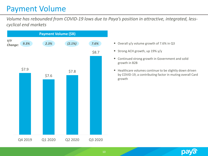### Payment Volume

*Volume has rebounded from COVID-19 lows due to Paya's position in attractive, integrated, lesscyclical end markets*



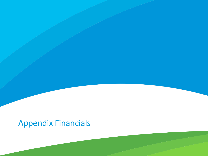# Appendix Financials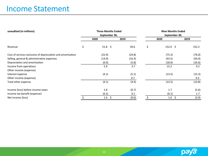#### Income Statement

| unaudited (in millions)                                     |               | <b>Three Months Ended</b> |        | <b>Nine Months Ended</b> |                   |        |  |
|-------------------------------------------------------------|---------------|---------------------------|--------|--------------------------|-------------------|--------|--|
|                                                             | September 30, |                           |        | September 30,            |                   |        |  |
|                                                             |               | 2020                      | 2019   |                          | 2020              | 2019   |  |
| Revenue                                                     | \$            | 51.8 \$                   | 50.6   | \$                       | $152.0 \; \simeq$ | 152.2  |  |
| Cost of services exclusive of depreciation and amortization |               | (25.9)                    | (24.8) |                          | (75.3)            | (76.0) |  |
| Selling, general & administrative expenses                  |               | (14.0)                    | (16.3) |                          | (43.5)            | (50.4) |  |
| Depreciation and amortization                               |               | (6.0)                     | (5.8)  |                          | (18.0)            | (16.6) |  |
| Income from operations                                      |               | 5.9                       | 3.7    |                          | 15.2              | 9.2    |  |
| Other income (expense)                                      |               |                           |        |                          |                   |        |  |
| Interest expense                                            |               | (4.1)                     | (5.1)  |                          | (13.5)            | (15.3) |  |
| Other income (expense)                                      |               |                           | 0.7    |                          |                   | 0.5    |  |
| Total other expense                                         |               | (4.1)                     | (4.4)  |                          | (13.5)            | (14.8) |  |
| Income (loss) before income taxes                           |               | 1.8                       | (0.7)  |                          | 1.7               | (5.6)  |  |
| Income tax benefit (expense)                                |               | (0.2)                     | 0.1    |                          | (0.1)             | 1.7    |  |
| Net income (loss)                                           |               | 1.6<br>\$                 | (0.6)  |                          | 1.6 \$            | (3.9)  |  |

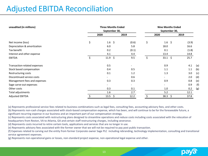### Adjusted EBITDA Reconciliation

| unaudited (in millions)      | <b>Three Months Ended</b><br>September 30, |                    |    | <b>Nine Months Ended</b><br>September 30, |    |                          |  |       |     |
|------------------------------|--------------------------------------------|--------------------|----|-------------------------------------------|----|--------------------------|--|-------|-----|
|                              |                                            | 2020               |    | 2019                                      |    | 2020                     |  | 2019  |     |
| Net income (loss)            | \$                                         | 1.6 \$             |    | (0.6)                                     | \$ | $1.6 \; \; \zeta$        |  | (3.9) |     |
| Depreciation & amortization  |                                            | 6.0                |    | 5.8                                       |    | 18.0                     |  | 16.6  |     |
| Tax benefit                  |                                            | 0.2                |    | (0.1)                                     |    | 0.1                      |  | (1.8) |     |
| Interest and other expense   |                                            | 4.1                |    | 4.4                                       |    | 13.4                     |  | 14.8  |     |
| <b>EBITDA</b>                | \$                                         | $11.9 \; \text{S}$ |    | 9.5                                       | \$ | $33.1 \; \text{S}$       |  | 25.7  |     |
| Transaction-related expenses |                                            | 0.5                |    | $\overline{\phantom{a}}$                  |    | 0.9                      |  | 4.1   | (a) |
| Stock based compensation     |                                            | 0.4                |    | 0.5                                       |    | 1.1                      |  | 1.1   | (b) |
| Restructuring costs          |                                            | 0.1                |    | 1.2                                       |    | 1.3                      |  | 3.0   | (c) |
| Discontinued service costs   |                                            |                    |    | 0.6                                       |    |                          |  | 2.0   | (d) |
| Management fees and expenses |                                            | 0.3                |    | 0.3                                       |    | 0.9                      |  | 0.8   | (e) |
| Sage carve-out expenses      |                                            |                    |    | $\overline{\phantom{a}}$                  |    | $\overline{\phantom{0}}$ |  | 0.9   | (f) |
| Other costs                  |                                            | 0.3                |    | 0.1                                       |    | 1.0                      |  | 0.2   | (g) |
| Total adjustments            |                                            | 1.6                |    | 2.7                                       |    | 5.2                      |  | 12.1  |     |
| <b>Adjusted EBITDA</b>       |                                            | 13.5               | Ŝ. | 12.2                                      |    | $38.3 \; \zeta$          |  | 37.8  |     |

(a) Represents professional service fees related to business combinations such as legal fees, consulting fees, accounting advisory fees, and other costs.

(b) Represents non-cash charges associated with stock-based compensation expense, which has been, and will continue to be for the foreseeable future, a significant recurring expense in our business and an important part of our compensation strategy.

(c) Represents costs associated with restructuring plans designed to streamline operations and reduce costs including costs associated with the relocation of headquarters from Reston, VA to Atlanta, GA and certain staff restructuring charges, including severance.

(d) Represents costs incurred to retire certain tools, applications and services that are no longer in use.

(e) Represents advisory fees associated with the former owner that we will not be required to pay post public transaction.

(f) Expenses related to carving out the entity from former Corporate owner Sage PLC including rebranding, technology implementation, consulting and transitional service agreement expenses.

(g) Represents non-operational gains or losses, non-standard project expense, non-operational legal expense and other.

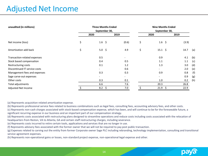### Adjusted Net Income

| unaudited (in millions)       | <b>Three Months Ended</b> |                          |                          |               | <b>Nine Months Ended</b> |       |     |  |
|-------------------------------|---------------------------|--------------------------|--------------------------|---------------|--------------------------|-------|-----|--|
|                               |                           | September 30,            |                          | September 30, |                          |       |     |  |
|                               |                           | 2020                     | 2019                     |               | 2020                     | 2019  |     |  |
| Net income (loss)             | \$                        | $1.6 \; \; \zeta$        | (0.6)                    | \$            | $1.6 \; \; \zeta$        | (3.9) |     |  |
| Amortization add back         | \$                        | $5.0\frac{2}{3}$         | 4.9                      | \$            | $15.1 \; \text{S}$       | 14.7  | (a) |  |
| Transaction-related expenses  |                           | 0.5                      |                          |               | 0.9                      | 4.1   | (b) |  |
| Stock based compensation      |                           | 0.4                      | 0.5                      |               | 1.1                      | 1.1   | (c) |  |
| Restructuring costs           |                           | 0.1                      | 1.2                      |               | 1.3                      | 3.0   | (d) |  |
| Discontinued IT service costs |                           | $\overline{\phantom{a}}$ | 0.6                      |               |                          | 2.0   | (e) |  |
| Management fees and expenses  |                           | 0.3                      | 0.3                      |               | 0.9                      | 0.8   | (f) |  |
| Sage carve-out expenses       |                           | $\overline{\phantom{a}}$ | $\overline{\phantom{0}}$ |               | $\overline{\phantom{a}}$ | 0.9   | (g) |  |
| Other costs                   |                           | 0.3                      | 0.1                      |               | 1.0                      | 0.2   | (h) |  |
| Total adjustments             |                           | 6.6                      | 7.6                      |               | 20.3                     | 26.8  |     |  |
| Adjusted Net Income           |                           | 8.2<br>\$                | 7.0                      |               | $21.9$ \$                | 22.9  |     |  |

(a) Represents acquisition related amortization expense.

(b) Represents professional service fees related to business combinations such as legal fees, consulting fees, accounting advisory fees, and other costs.

(c) Represents non-cash charges associated with stock-based compensation expense, which has been, and will continue to be for the foreseeable future, a significant recurring expense in our business and an important part of our compensation strategy.

(d) Represents costs associated with restructuring plans designed to streamline operations and reduce costs including costs associated with the relocation of headquarters from Reston, VA to Atlanta, GA and certain staff restructuring charges, including severance.

(e) Represents costs incurred to retire certain tools, applications and services that are no longer in use.

(f) Represents advisory fees associated with the former owner that we will not be required to pay post public transaction.

(g) Expenses related to carving out the entity from former Corporate owner Sage PLC including rebranding, technology implementation, consulting and transitional service agreement expenses.

(h) Represents non-operational gains or losses, non-standard project expense, non-operational legal expense and other.

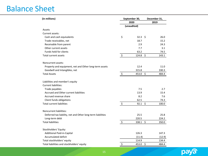#### Balance Sheet

| (in millions)                                               | September 30, |             |     | December 31, |  |  |
|-------------------------------------------------------------|---------------|-------------|-----|--------------|--|--|
|                                                             | 2020          |             |     | 2019         |  |  |
|                                                             |               | (unaudited) |     |              |  |  |
| Assets                                                      |               |             |     |              |  |  |
| Current assets:                                             |               |             |     |              |  |  |
| Cash and cash equivalents                                   | \$            | $32.3$ \$   |     | 26.0         |  |  |
| Trade receivables, net                                      |               | 18.7        |     | 15.2         |  |  |
| Receivable from parent                                      |               | 2.9         |     | 24.3         |  |  |
| Other current assets                                        |               | 7.7         |     | 3.1          |  |  |
| Funds held for clients                                      |               | 63.2        |     | 74.5         |  |  |
| <b>Total current assets</b>                                 | $\zeta$       | 124.8       | \$  | 143.1        |  |  |
| Noncurrent assets:                                          |               |             |     |              |  |  |
| Property and equipment, net and Other long-term assets      |               | 12.4        |     | 11.0         |  |  |
| Goodwill and Intangibles, net                               |               | 315.8       |     | 330.3        |  |  |
| <b>Total Assets</b>                                         | \$            | 453.0       | -\$ | 484.4        |  |  |
| Liabilities and member's equity                             |               |             |     |              |  |  |
| <b>Current liabilities:</b>                                 |               |             |     |              |  |  |
| Trade payables                                              |               | 7.5         |     | 2.7          |  |  |
| Accrued and Other current liabilities                       |               | 13.9        |     | 15.4         |  |  |
| Accrued revenue share                                       |               | 8.2         |     | 7.6          |  |  |
| Client funds obligations                                    |               | 62.5        |     | 74.3         |  |  |
| <b>Total current liabilities</b>                            | $\zeta$       | 92.1        | \$  | 100.0        |  |  |
| Noncurrent liabilities:                                     |               |             |     |              |  |  |
| Deferred tax liability, net and Other long-term liabilities |               | 25.5        |     | 25.8         |  |  |
| Long-term debt                                              |               | 220.5       |     | 224.2        |  |  |
| <b>Total liabilities</b>                                    | \$            | 338.1       | \$  | 350.0        |  |  |
| Stockholders' Equity:                                       |               |             |     |              |  |  |
| Additional Paid-in-Capital                                  |               | 126.3       |     | 147.3        |  |  |
| Accumulated deficit                                         |               | (11.4)      |     | (12.9)       |  |  |
| Total stockholders' equity                                  |               | 114.9       |     | 134.4        |  |  |
| Total liabilities and stockholders' equity                  | \$            | 453.0       | \$  | 484.4        |  |  |